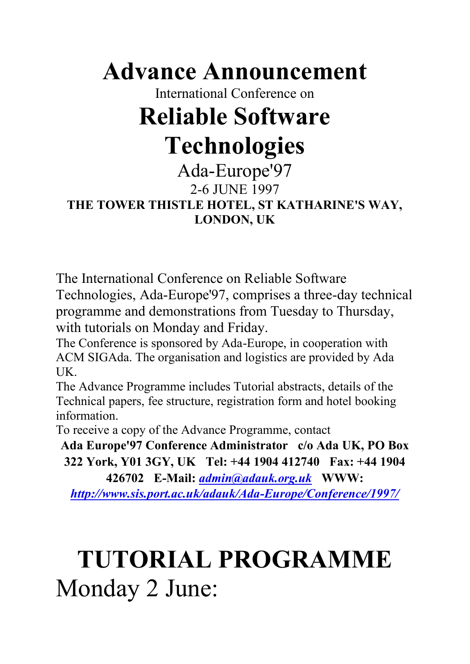## **Advance Announcement**

International Conference on **Reliable Software Technologies**

Ada-Europe'97 2-6 JUNE 1997 **THE TOWER THISTLE HOTEL, ST KATHARINE'S WAY, LONDON, UK**

The International Conference on Reliable Software

Technologies, Ada-Europe'97, comprises a three-day technical programme and demonstrations from Tuesday to Thursday, with tutorials on Monday and Friday.

The Conference is sponsored by Ada-Europe, in cooperation with ACM SIGAda. The organisation and logistics are provided by Ada UK.

The Advance Programme includes Tutorial abstracts, details of the Technical papers, fee structure, registration form and hotel booking information.

To receive a copy of the Advance Programme, contact

**Ada Europe'97 Conference Administrator c/o Ada UK, PO Box 322 York, Y01 3GY, UK Tel: +44 1904 412740 Fax: +44 1904** 

**426702 E-Mail:** *[admin@adauk.org.uk](mailto:admin@adauk.org.uk)* **WWW:**  *<http://www.sis.port.ac.uk/adauk/Ada-Europe/Conference/1997/>*

# **TUTORIAL PROGRAMME** Monday 2 June: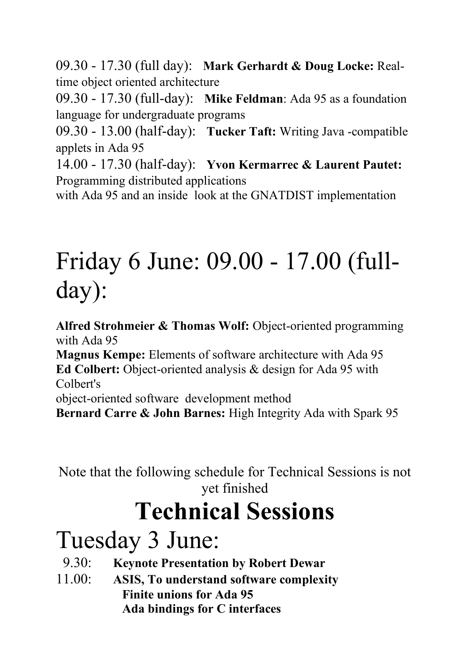09.30 - 17.30 (full day): **Mark Gerhardt & Doug Locke:** Realtime object oriented architecture

09.30 - 17.30 (full-day): **Mike Feldman**: Ada 95 as a foundation language for undergraduate programs

09.30 - 13.00 (half-day): **Tucker Taft:** Writing Java -compatible applets in Ada 95

14.00 - 17.30 (half-day): **Yvon Kermarrec & Laurent Pautet:**  Programming distributed applications

with Ada 95 and an inside look at the GNATDIST implementation

# Friday 6 June: 09.00 - 17.00 (fullday):

**Alfred Strohmeier & Thomas Wolf:** Object-oriented programming with Ada 95

**Magnus Kempe:** Elements of software architecture with Ada 95 **Ed Colbert:** Object-oriented analysis & design for Ada 95 with Colbert's

object-oriented software development method

**Bernard Carre & John Barnes:** High Integrity Ada with Spark 95

Note that the following schedule for Technical Sessions is not yet finished

# **Technical Sessions**

### Tuesday 3 June:

- 9.30: **Keynote Presentation by Robert Dewar**
- 11.00: **ASIS, To understand software complexity Finite unions for Ada 95 Ada bindings for C interfaces**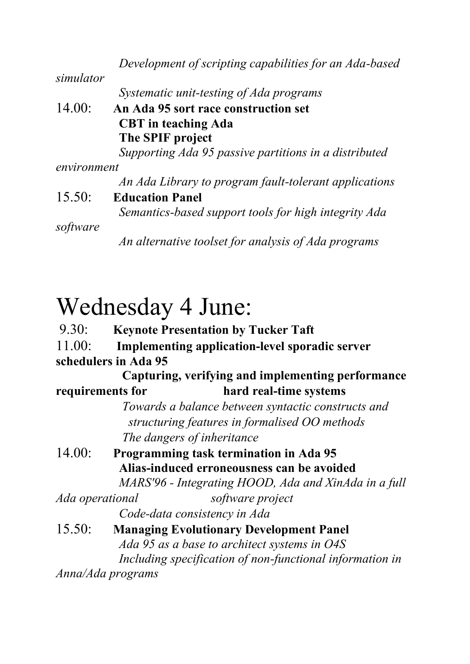*Development of scripting capabilities for an Ada-based* 

*simulator Systematic unit-testing of Ada programs* 14.00: **An Ada 95 sort race construction set CBT in teaching Ada The SPIF project**  *Supporting Ada 95 passive partitions in a distributed environment An Ada Library to program fault-tolerant applications* 15.50: **Education Panel**  *Semantics-based support tools for high integrity Ada software*

 *An alternative toolset for analysis of Ada programs*

## Wednesday 4 June:

- 9.30: **Keynote Presentation by Tucker Taft**
- 11.00: **Implementing application-level sporadic server schedulers in Ada 95**

#### **Capturing, verifying and implementing performance requirements for hard real-time systems**

 *Towards a balance between syntactic constructs and structuring features in formalised OO methods The dangers of inheritance*

14.00: **Programming task termination in Ada 95 Alias-induced erroneousness can be avoided** *MARS'96 - Integrating HOOD, Ada and XinAda in a full* 

*Ada operational software project Code-data consistency in Ada*

15.50: **Managing Evolutionary Development Panel**  *Ada 95 as a base to architect systems in O4S Including specification of non-functional information in* 

*Anna/Ada programs*